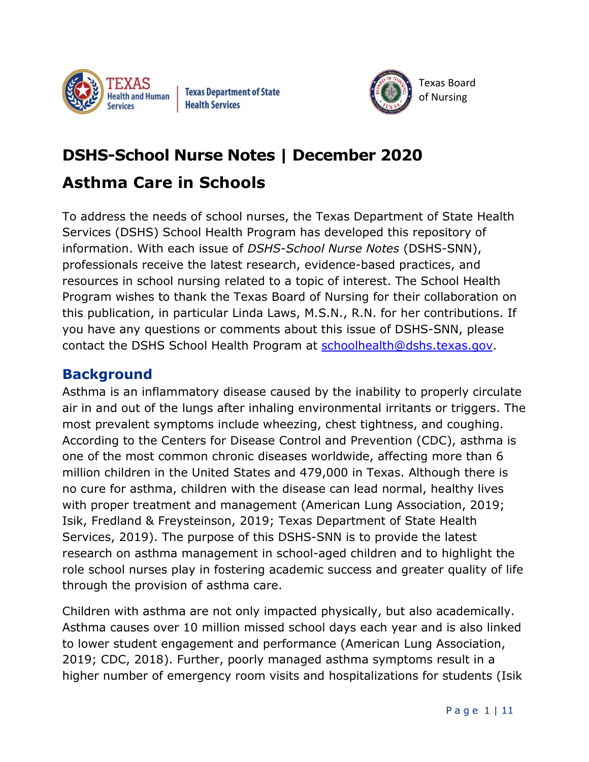

Texas Department of State Health Services



# **DSHS-School Nurse Notes | December 2020 Asthma Care in Schools**

To address the needs of school nurses, the Texas Department of State Health Services (DSHS) School Health Program has developed this repository of information. With each issue of *DSHS-School Nurse Notes* (DSHS-SNN), professionals receive the latest research, evidence-based practices, and resources in school nursing related to a topic of interest. The School Health Program wishes to thank the Texas Board of Nursing for their collaboration on this publication, in particular Linda Laws, M.S.N., R.N. for her contributions. If you have any questions or comments about this issue of DSHS-SNN, please contact the DSHS School Health Program at [schoolhealth@dshs.texas.gov.](mailto:schoolhealth@dshs.texas.gov)

### **Background**

Asthma is an inflammatory disease caused by the inability to properly circulate air in and out of the lungs after inhaling environmental irritants or triggers. The most prevalent symptoms include wheezing, chest tightness, and coughing. According to the Centers for Disease Control and Prevention (CDC), asthma is one of the most common chronic diseases worldwide, affecting more than 6 million children in the United States and 479,000 in Texas. Although there is no cure for asthma, children with the disease can lead normal, healthy lives with proper treatment and management (American Lung Association, 2019; Isik, Fredland & Freysteinson, 2019; Texas Department of State Health Services, 2019). The purpose of this DSHS-SNN is to provide the latest research on asthma management in school-aged children and to highlight the role school nurses play in fostering academic success and greater quality of life through the provision of asthma care.

Children with asthma are not only impacted physically, but also academically. Asthma causes over 10 million missed school days each year and is also linked to lower student engagement and performance (American Lung Association, 2019; CDC, 2018). Further, poorly managed asthma symptoms result in a higher number of emergency room visits and hospitalizations for students (Isik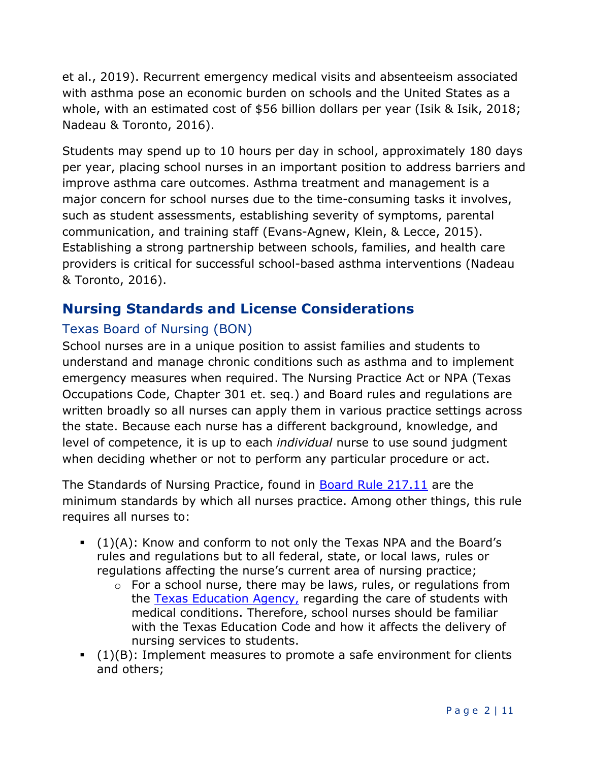et al., 2019). Recurrent emergency medical visits and absenteeism associated with asthma pose an economic burden on schools and the United States as a whole, with an estimated cost of \$56 billion dollars per year (Isik & Isik, 2018; Nadeau & Toronto, 2016).

Students may spend up to 10 hours per day in school, approximately 180 days per year, placing school nurses in an important position to address barriers and improve asthma care outcomes. Asthma treatment and management is a major concern for school nurses due to the time-consuming tasks it involves, such as student assessments, establishing severity of symptoms, parental communication, and training staff (Evans-Agnew, Klein, & Lecce, 2015). Establishing a strong partnership between schools, families, and health care providers is critical for successful school-based asthma interventions (Nadeau & Toronto, 2016).

#### **Nursing Standards and License Considerations**

#### Texas Board of Nursing (BON)

School nurses are in a unique position to assist families and students to understand and manage chronic conditions such as asthma and to implement emergency measures when required. The Nursing Practice Act or NPA (Texas Occupations Code, Chapter 301 et. seq.) and Board rules and regulations are written broadly so all nurses can apply them in various practice settings across the state. Because each nurse has a different background, knowledge, and level of competence, it is up to each *individual* nurse to use sound judgment when deciding whether or not to perform any particular procedure or act.

The Standards of Nursing Practice, found in [Board Rule 217.11](http://www.bon.texas.gov/rr_current/217-11.asp) are the minimum standards by which all nurses practice. Among other things, this rule requires all nurses to:

- $(1)(A)$ : Know and conform to not only the Texas NPA and the Board's rules and regulations but to all federal, state, or local laws, rules or regulations affecting the nurse's current area of nursing practice;
	- $\circ$  For a school nurse, there may be laws, rules, or regulations from the [Texas Education Agency,](http://tea.texas.gov/) regarding the care of students with medical conditions. Therefore, school nurses should be familiar with the Texas Education Code and how it affects the delivery of nursing services to students.
- $(1)(B)$ : Implement measures to promote a safe environment for clients and others;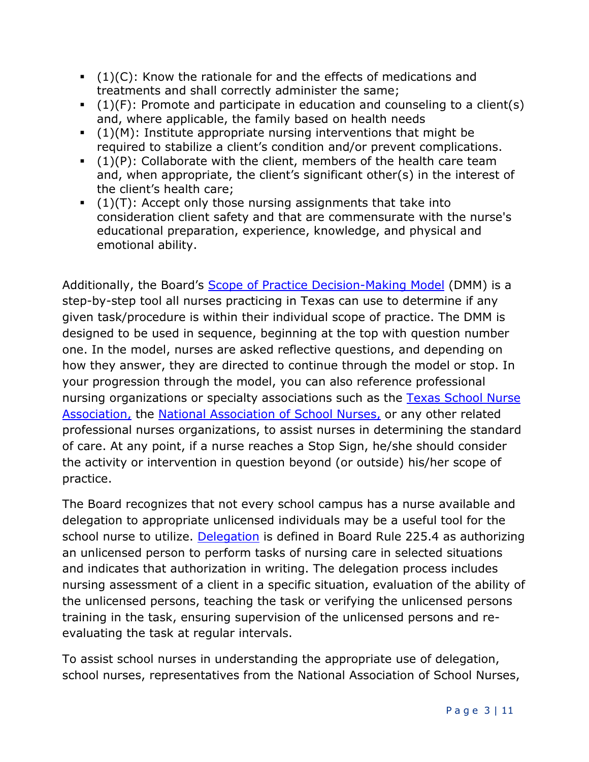- $(1)(C)$ : Know the rationale for and the effects of medications and treatments and shall correctly administer the same;
- $(1)(F)$ : Promote and participate in education and counseling to a client(s) and, where applicable, the family based on health needs
- $(1)(M)$ : Institute appropriate nursing interventions that might be required to stabilize a client's condition and/or prevent complications.
- $(1)(P)$ : Collaborate with the client, members of the health care team and, when appropriate, the client's significant other(s) in the interest of the client's health care;
- $(1)(T)$ : Accept only those nursing assignments that take into consideration client safety and that are commensurate with the nurse's educational preparation, experience, knowledge, and physical and emotional ability.

Additionally, the Board's **Scope of Practice Decision-Making Model** (DMM) is a step-by-step tool all nurses practicing in Texas can use to determine if any given task/procedure is within their individual scope of practice. The DMM is designed to be used in sequence, beginning at the top with question number one. In the model, nurses are asked reflective questions, and depending on how they answer, they are directed to continue through the model or stop. In your progression through the model, you can also reference professional nursing organizations or specialty associations such as the Texas School Nurse [Association,](http://txsno.org/) the [National Association of School Nurses,](https://www.nasn.org/home) or any other related professional nurses organizations, to assist nurses in determining the standard of care. At any point, if a nurse reaches a Stop Sign, he/she should consider the activity or intervention in question beyond (or outside) his/her scope of practice.

The Board recognizes that not every school campus has a nurse available and delegation to appropriate unlicensed individuals may be a useful tool for the school nurse to utilize. [Delegation](https://www.bon.texas.gov/rr_current/225-4.asp) is defined in Board Rule 225.4 as authorizing an unlicensed person to perform tasks of nursing care in selected situations and indicates that authorization in writing. The delegation process includes nursing assessment of a client in a specific situation, evaluation of the ability of the unlicensed persons, teaching the task or verifying the unlicensed persons training in the task, ensuring supervision of the unlicensed persons and reevaluating the task at regular intervals.

To assist school nurses in understanding the appropriate use of delegation, school nurses, representatives from the National Association of School Nurses,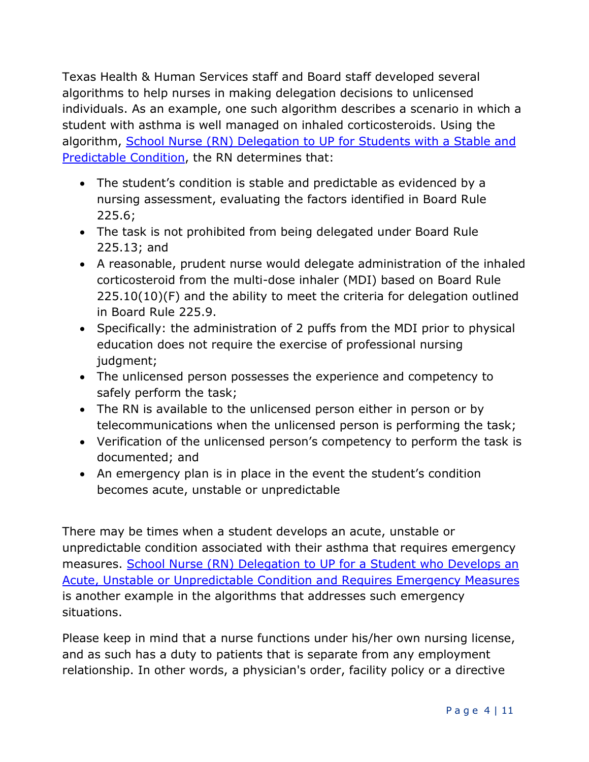Texas Health & Human Services staff and Board staff developed several algorithms to help nurses in making delegation decisions to unlicensed individuals. As an example, one such algorithm describes a scenario in which a student with asthma is well managed on inhaled corticosteroids. Using the algorithm, School Nurse (RN) Delegation to UP for Students with a Stable and [Predictable Condition,](https://www.bon.texas.gov/pdfs/delegation_pdfs/School%20Nurse%20Delegation%20Decision%20Trees.pdf) the RN determines that:

- The student's condition is stable and predictable as evidenced by a nursing assessment, evaluating the factors identified in Board Rule 225.6;
- The task is not prohibited from being delegated under Board Rule 225.13; and
- A reasonable, prudent nurse would delegate administration of the inhaled corticosteroid from the multi-dose inhaler (MDI) based on Board Rule 225.10(10)(F) and the ability to meet the criteria for delegation outlined in Board Rule 225.9.
- Specifically: the administration of 2 puffs from the MDI prior to physical education does not require the exercise of professional nursing judgment;
- The unlicensed person possesses the experience and competency to safely perform the task;
- The RN is available to the unlicensed person either in person or by telecommunications when the unlicensed person is performing the task;
- Verification of the unlicensed person's competency to perform the task is documented; and
- An emergency plan is in place in the event the student's condition becomes acute, unstable or unpredictable

There may be times when a student develops an acute, unstable or unpredictable condition associated with their asthma that requires emergency measures. [School Nurse \(RN\) Delegation to UP for a Student who Develops an](https://www.bon.texas.gov/pdfs/delegation_pdfs/School%20Nurse%20Delegation%20Decision%20Trees.pdf)  [Acute, Unstable or Unpredictable Condition and Requires Emergency Measures](https://www.bon.texas.gov/pdfs/delegation_pdfs/School%20Nurse%20Delegation%20Decision%20Trees.pdf)  is another example in the algorithms that addresses such emergency situations.

Please keep in mind that a nurse functions under his/her own nursing license, and as such has a duty to patients that is separate from any employment relationship. In other words, a physician's order, facility policy or a directive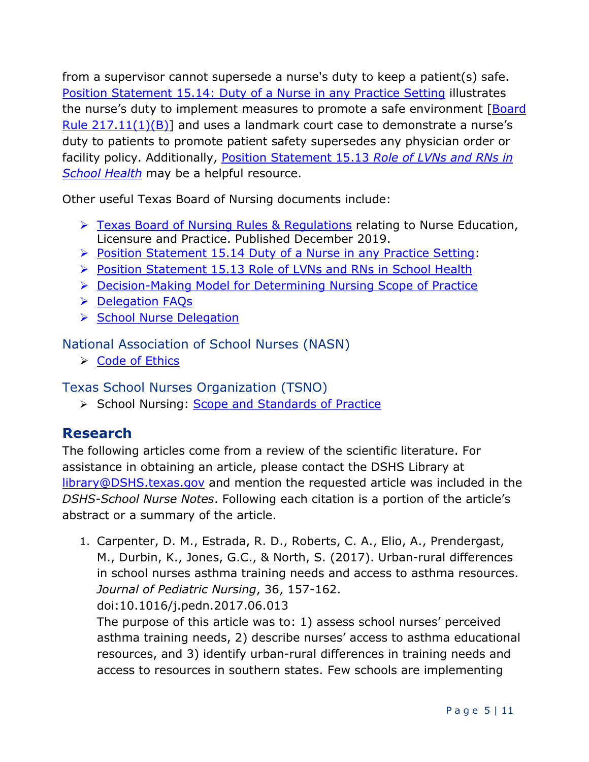from a supervisor cannot supersede a nurse's duty to keep a patient(s) safe. [Position Statement 15.14: Duty of a Nurse in any Practice Setting](http://www.bon.texas.gov/practice_bon_position_statements_content.asp#15.14) illustrates the nurse's duty to implement measures to promote a safe environment [Board] Rule  $217.11(1)(B)$ ] and uses a landmark court case to demonstrate a nurse's duty to patients to promote patient safety supersedes any physician order or facility policy. Additionally, [Position Statement 15.13](http://www.bon.texas.gov/practice_bon_position_statements_content.asp#15.13) *Role of LVNs and RNs in [School Health](http://www.bon.texas.gov/practice_bon_position_statements_content.asp#15.13)* may be a helpful resource.

Other useful Texas Board of Nursing documents include:

- [Texas Board of Nursing Rules & Regulations](https://www.bon.texas.gov/laws_and_rules_rules_and_regulations.asp) relating to Nurse Education, Licensure and Practice. Published December 2019.
- $\triangleright$  [Position Statement 15.14 Duty of a Nurse in any Practice Setting:](https://www.bon.texas.gov/practice_bon_position_statements.asp)
- Position Statement 15.13 Role of LVNs and RNs in School Health
- ▶ Decision-Making Model for Determining Nursing Scope of Practice
- **▶ Delegation FAQs**
- School Nurse Delegation

National Association of School Nurses (NASN)

 $\triangleright$  Code of Ethics

Texas School Nurses Organization (TSNO)

School Nursing: Scope and Standards of Practice

## **Research**

The following articles come from a review of the scientific literature. For assistance in obtaining an article, please contact the DSHS Library at [library@DSHS.texas.gov](mailto:library@DSHS.texas.gov) and mention the requested article was included in the *DSHS-School Nurse Notes*. Following each citation is a portion of the article's abstract or a summary of the article.

1. Carpenter, D. M., Estrada, R. D., Roberts, C. A., Elio, A., Prendergast, M., Durbin, K., Jones, G.C., & North, S. (2017). Urban-rural differences in school nurses asthma training needs and access to asthma resources. *Journal of Pediatric Nursing*, 36, 157-162. doi:10.1016/j.pedn.2017.06.013

The purpose of this article was to: 1) assess school nurses' perceived asthma training needs, 2) describe nurses' access to asthma educational resources, and 3) identify urban-rural differences in training needs and access to resources in southern states. Few schools are implementing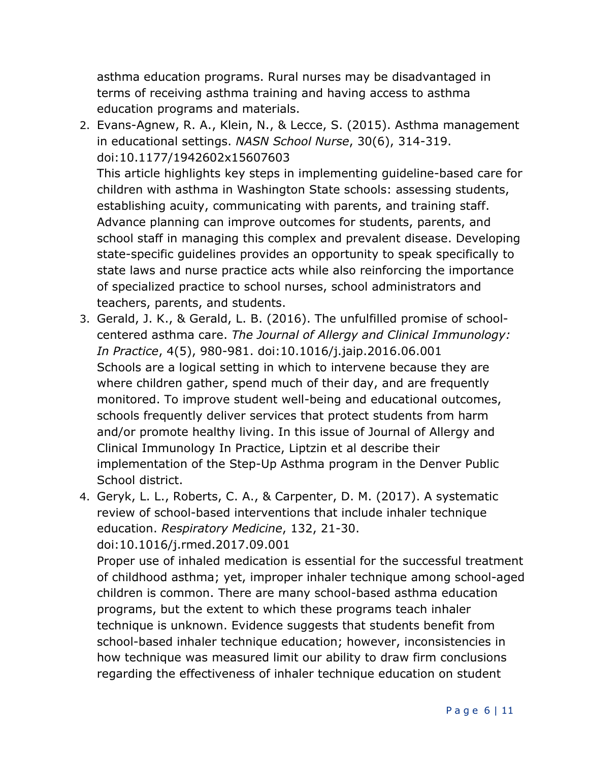asthma education programs. Rural nurses may be disadvantaged in terms of receiving asthma training and having access to asthma education programs and materials.

2. Evans-Agnew, R. A., Klein, N., & Lecce, S. (2015). Asthma management in educational settings. *NASN School Nurse*, 30(6), 314-319. doi:10.1177/1942602x15607603

This article highlights key steps in implementing guideline-based care for children with asthma in Washington State schools: assessing students, establishing acuity, communicating with parents, and training staff. Advance planning can improve outcomes for students, parents, and school staff in managing this complex and prevalent disease. Developing state-specific guidelines provides an opportunity to speak specifically to state laws and nurse practice acts while also reinforcing the importance of specialized practice to school nurses, school administrators and teachers, parents, and students.

- 3. Gerald, J. K., & Gerald, L. B. (2016). The unfulfilled promise of schoolcentered asthma care. *The Journal of Allergy and Clinical Immunology: In Practice*, 4(5), 980-981. doi:10.1016/j.jaip.2016.06.001 Schools are a logical setting in which to intervene because they are where children gather, spend much of their day, and are frequently monitored. To improve student well-being and educational outcomes, schools frequently deliver services that protect students from harm and/or promote healthy living. In this issue of Journal of Allergy and Clinical Immunology In Practice, Liptzin et al describe their implementation of the Step-Up Asthma program in the Denver Public School district.
- 4. Geryk, L. L., Roberts, C. A., & Carpenter, D. M. (2017). A systematic review of school-based interventions that include inhaler technique education. *Respiratory Medicine*, 132, 21-30. doi:10.1016/j.rmed.2017.09.001

Proper use of inhaled medication is essential for the successful treatment of childhood asthma; yet, improper inhaler technique among school-aged children is common. There are many school-based asthma education programs, but the extent to which these programs teach inhaler technique is unknown. Evidence suggests that students benefit from school-based inhaler technique education; however, inconsistencies in how technique was measured limit our ability to draw firm conclusions regarding the effectiveness of inhaler technique education on student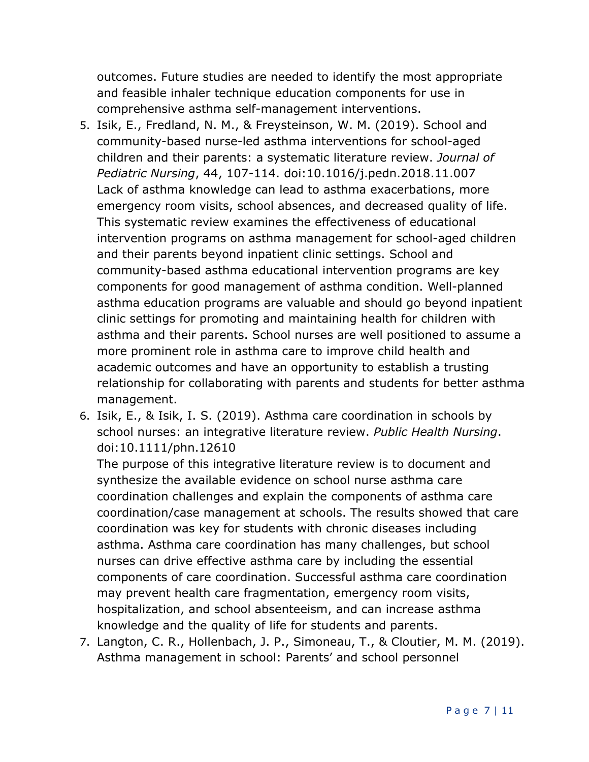outcomes. Future studies are needed to identify the most appropriate and feasible inhaler technique education components for use in comprehensive asthma self-management interventions.

- 5. Isik, E., Fredland, N. M., & Freysteinson, W. M. (2019). School and community-based nurse-led asthma interventions for school-aged children and their parents: a systematic literature review. *Journal of Pediatric Nursing*, 44, 107-114. doi:10.1016/j.pedn.2018.11.007 Lack of asthma knowledge can lead to asthma exacerbations, more emergency room visits, school absences, and decreased quality of life. This systematic review examines the effectiveness of educational intervention programs on asthma management for school-aged children and their parents beyond inpatient clinic settings. School and community-based asthma educational intervention programs are key components for good management of asthma condition. Well-planned asthma education programs are valuable and should go beyond inpatient clinic settings for promoting and maintaining health for children with asthma and their parents. School nurses are well positioned to assume a more prominent role in asthma care to improve child health and academic outcomes and have an opportunity to establish a trusting relationship for collaborating with parents and students for better asthma management.
- 6. Isik, E., & Isik, I. S. (2019). Asthma care coordination in schools by school nurses: an integrative literature review. *Public Health Nursing*. doi:10.1111/phn.12610

The purpose of this integrative literature review is to document and synthesize the available evidence on school nurse asthma care coordination challenges and explain the components of asthma care coordination/case management at schools. The results showed that care coordination was key for students with chronic diseases including asthma. Asthma care coordination has many challenges, but school nurses can drive effective asthma care by including the essential components of care coordination. Successful asthma care coordination may prevent health care fragmentation, emergency room visits, hospitalization, and school absenteeism, and can increase asthma knowledge and the quality of life for students and parents.

7. Langton, C. R., Hollenbach, J. P., Simoneau, T., & Cloutier, M. M. (2019). Asthma management in school: Parents' and school personnel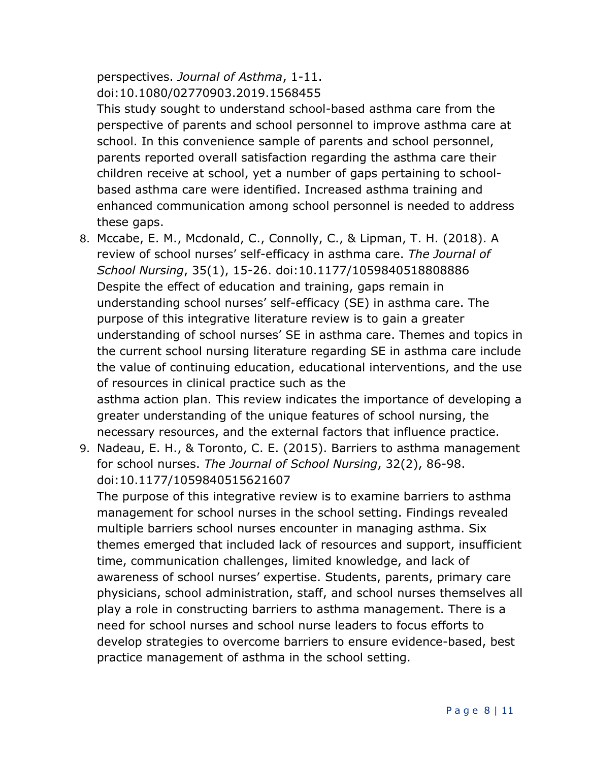perspectives. *Journal of Asthma*, 1-11. doi:10.1080/02770903.2019.1568455

This study sought to understand school-based asthma care from the perspective of parents and school personnel to improve asthma care at school. In this convenience sample of parents and school personnel, parents reported overall satisfaction regarding the asthma care their children receive at school, yet a number of gaps pertaining to schoolbased asthma care were identified. Increased asthma training and enhanced communication among school personnel is needed to address these gaps.

- 8. Mccabe, E. M., Mcdonald, C., Connolly, C., & Lipman, T. H. (2018). A review of school nurses' self-efficacy in asthma care. *The Journal of School Nursing*, 35(1), 15-26. doi:10.1177/1059840518808886 Despite the effect of education and training, gaps remain in understanding school nurses' self-efficacy (SE) in asthma care. The purpose of this integrative literature review is to gain a greater understanding of school nurses' SE in asthma care. Themes and topics in the current school nursing literature regarding SE in asthma care include the value of continuing education, educational interventions, and the use of resources in clinical practice such as the asthma action plan. This review indicates the importance of developing a greater understanding of the unique features of school nursing, the necessary resources, and the external factors that influence practice.
- 9. Nadeau, E. H., & Toronto, C. E. (2015). Barriers to asthma management for school nurses. *The Journal of School Nursing*, 32(2), 86-98. doi:10.1177/1059840515621607

The purpose of this integrative review is to examine barriers to asthma management for school nurses in the school setting. Findings revealed multiple barriers school nurses encounter in managing asthma. Six themes emerged that included lack of resources and support, insufficient time, communication challenges, limited knowledge, and lack of awareness of school nurses' expertise. Students, parents, primary care physicians, school administration, staff, and school nurses themselves all play a role in constructing barriers to asthma management. There is a need for school nurses and school nurse leaders to focus efforts to develop strategies to overcome barriers to ensure evidence-based, best practice management of asthma in the school setting.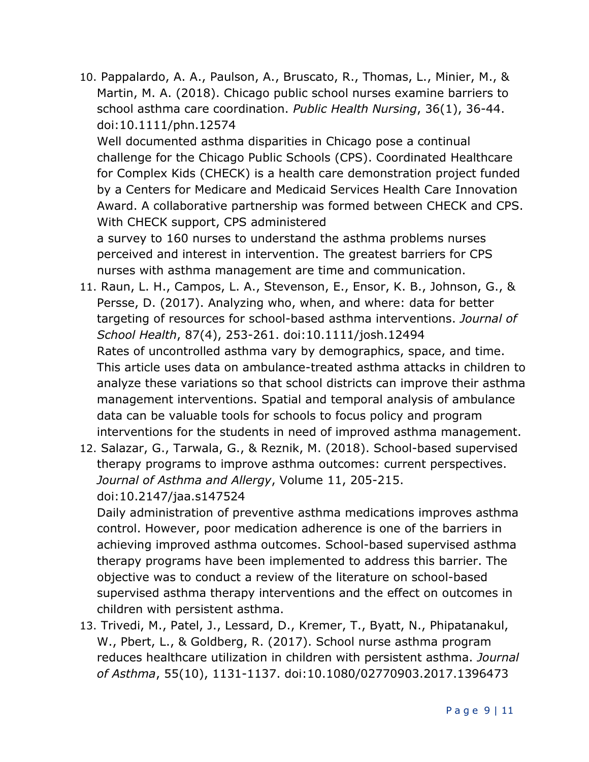10. Pappalardo, A. A., Paulson, A., Bruscato, R., Thomas, L., Minier, M., & Martin, M. A. (2018). Chicago public school nurses examine barriers to school asthma care coordination. *Public Health Nursing*, 36(1), 36-44. doi:10.1111/phn.12574

Well documented asthma disparities in Chicago pose a continual challenge for the Chicago Public Schools (CPS). Coordinated Healthcare for Complex Kids (CHECK) is a health care demonstration project funded by a Centers for Medicare and Medicaid Services Health Care Innovation Award. A collaborative partnership was formed between CHECK and CPS. With CHECK support, CPS administered

a survey to 160 nurses to understand the asthma problems nurses perceived and interest in intervention. The greatest barriers for CPS nurses with asthma management are time and communication.

- 11. Raun, L. H., Campos, L. A., Stevenson, E., Ensor, K. B., Johnson, G., & Persse, D. (2017). Analyzing who, when, and where: data for better targeting of resources for school-based asthma interventions. *Journal of School Health*, 87(4), 253-261. doi:10.1111/josh.12494 Rates of uncontrolled asthma vary by demographics, space, and time. This article uses data on ambulance-treated asthma attacks in children to analyze these variations so that school districts can improve their asthma management interventions. Spatial and temporal analysis of ambulance data can be valuable tools for schools to focus policy and program interventions for the students in need of improved asthma management.
- 12. Salazar, G., Tarwala, G., & Reznik, M. (2018). School-based supervised therapy programs to improve asthma outcomes: current perspectives. *Journal of Asthma and Allergy*, Volume 11, 205-215. doi:10.2147/jaa.s147524

Daily administration of preventive asthma medications improves asthma control. However, poor medication adherence is one of the barriers in achieving improved asthma outcomes. School-based supervised asthma therapy programs have been implemented to address this barrier. The objective was to conduct a review of the literature on school-based supervised asthma therapy interventions and the effect on outcomes in children with persistent asthma.

13. Trivedi, M., Patel, J., Lessard, D., Kremer, T., Byatt, N., Phipatanakul, W., Pbert, L., & Goldberg, R. (2017). School nurse asthma program reduces healthcare utilization in children with persistent asthma. *Journal of Asthma*, 55(10), 1131-1137. doi:10.1080/02770903.2017.1396473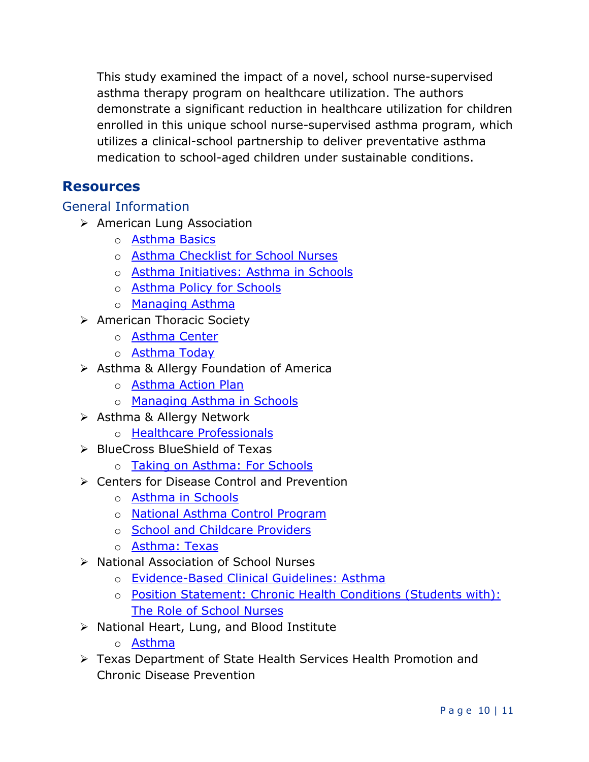This study examined the impact of a novel, school nurse-supervised asthma therapy program on healthcare utilization. The authors demonstrate a significant reduction in healthcare utilization for children enrolled in this unique school nurse-supervised asthma program, which utilizes a clinical-school partnership to deliver preventative asthma medication to school-aged children under sustainable conditions.

### **Resources**

General Information

- American Lung Association
	- o [Asthma Basics](https://www.lung.org/lung-health-and-diseases/lung-disease-lookup/asthma/asthma-education-advocacy/asthma-basics.html)
	- o [Asthma Checklist for School Nurses](https://www.lung.org/getmedia/d862ffa9-92f3-4623-99bd-5ac0f9829875/asthma-checklist-for-school-nurses.pdf.pdf)
	- o [Asthma Initiatives: Asthma in Schools](https://www.lung.org/lung-health-and-diseases/lung-disease-lookup/asthma/asthma-education-advocacy/asthma-basics.html)
	- o [Asthma Policy for Schools](https://www.lung.org/lung-health-and-diseases/lung-disease-lookup/asthma/asthma-education-advocacy/national-asthma-public-policy-agenda/asthma-policy-for-schools.html)
	- o [Managing Asthma](https://www.lung.org/lung-health-and-diseases/lung-disease-lookup/asthma/living-with-asthma/managing-asthma/)
- American Thoracic Society
	- o [Asthma Center](http://www.thoracic.org/professionals/clinical-resources/asthma-center/)
	- o [Asthma Today](https://www.thoracic.org/patients/patient-resources/)
- $\triangleright$  Asthma & Allergy Foundation of America
	- o [Asthma Action Plan](https://www.aafa.org/asthma-treatment-action-plan/)
	- o [Managing Asthma in Schools](https://www.aafa.org/managing-asthma-in-school/)
- **▶ Asthma & Allergy Network** 
	- o [Healthcare Professionals](https://www.allergyasthmanetwork.org/professionals/)
- > BlueCross BlueShield of Texas
	- o [Taking on Asthma: For Schools](https://www.bcbstx.com/company-info/community-involvement/taking-on-asthma#For-Schools)
- **► Centers for Disease Control and Prevention** 
	- o [Asthma in Schools](https://www.cdc.gov/healthyschools/asthma/index.htm)
	- o [National Asthma Control Program](https://www.cdc.gov/asthma/nacp.htm)
	- o [School and Childcare Providers](https://www.cdc.gov/asthma/schools.html)
	- o [Asthma: Texas](https://www.cdc.gov/asthma/contacts/tx.htm)
- ▶ National Association of School Nurses
	- o [Evidence-Based Clinical Guidelines: Asthma](https://journals.sagepub.com/doi/abs/10.1177/1942602X14545227?journalCode=nasb)
	- o [Position Statement: Chronic Health Conditions \(Students with\):](https://www.nasn.org/nasn/advocacy/professional-practice-documents/position-statements/ps-chronic-health)  [The Role of School Nurses](https://www.nasn.org/nasn/advocacy/professional-practice-documents/position-statements/ps-chronic-health)
- $\triangleright$  National Heart, Lung, and Blood Institute
	- o [Asthma](https://www.nhlbi.nih.gov/health-topics/asthma)
- Texas Department of State Health Services Health Promotion and Chronic Disease Prevention